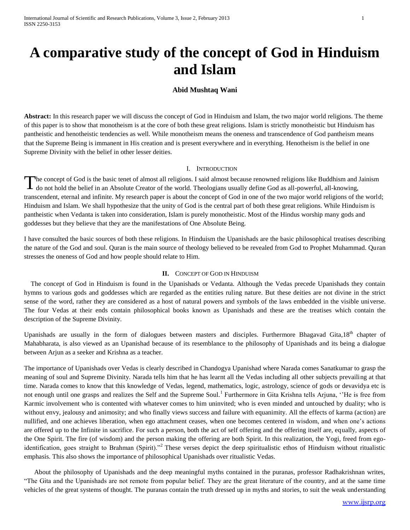# **A comparative study of the concept of God in Hinduism and Islam**

# **Abid Mushtaq Wani**

**Abstract:** In this research paper we will discuss the concept of God in Hinduism and Islam, the two major world religions. The theme of this paper is to show that monotheism is at the core of both these great religions. Islam is strictly monotheistic but Hinduism has pantheistic and henotheistic tendencies as well. While monotheism means the oneness and transcendence of God pantheism means that the Supreme Being is immanent in His creation and is present everywhere and in everything. Henotheism is the belief in one Supreme Divinity with the belief in other lesser deities.

### I. INTRODUCTION

he concept of God is the basic tenet of almost all religions. I said almost because renowned religions like Buddhism and Jainism The concept of God is the basic tenet of almost all religions. I said almost because renowned religions like Buddhism and J do not hold the belief in an Absolute Creator of the world. Theologians usually define God as alltranscendent, eternal and infinite. My research paper is about the concept of God in one of the two major world religions of the world; Hinduism and Islam. We shall hypothesize that the unity of God is the central part of both these great religions. While Hinduism is pantheistic when Vedanta is taken into consideration, Islam is purely monotheistic. Most of the Hindus worship many gods and goddesses but they believe that they are the manifestations of One Absolute Being.

I have consulted the basic sources of both these religions. In Hinduism the Upanishads are the basic philosophical treatises describing the nature of the God and soul. Quran is the main source of theology believed to be revealed from God to Prophet Muhammad. Quran stresses the oneness of God and how people should relate to Him.

### **II.** CONCEPT OF GOD IN HINDUISM

 The concept of God in Hinduism is found in the Upanishads or Vedanta. Although the Vedas precede Upanishads they contain hymns to various gods and goddesses which are regarded as the entities ruling nature. But these deities are not divine in the strict sense of the word, rather they are considered as a host of natural powers and symbols of the laws embedded in the visible universe. The four Vedas at their ends contain philosophical books known as Upanishads and these are the treatises which contain the description of the Supreme Divinity.

Upanishads are usually in the form of dialogues between masters and disciples. Furthermore Bhagavad Gita,18<sup>th</sup> chapter of Mahabharata, is also viewed as an Upanishad because of its resemblance to the philosophy of Upanishads and its being a dialogue between Arjun as a seeker and Krishna as a teacher.

The importance of Upanishads over Vedas is clearly described in Chandogya Upanishad where Narada comes Sanatkumar to grasp the meaning of soul and Supreme Divinity. Narada tells him that he has learnt all the Vedas including all other subjects prevailing at that time. Narada comes to know that this knowledge of Vedas, legend, mathematics, logic, astrology, science of gods or devavidya etc is not enough until one grasps and realizes the Self and the Supreme Soul.<sup>1</sup> Furthermore in Gita Krishna tells Arjuna, "He is free from Karmic involvement who is contented with whatever comes to him uninvited; who is even minded and untouched by duality; who is without envy, jealousy and animosity; and who finally views success and failure with equanimity. All the effects of karma (action) are nullified, and one achieves liberation, when ego attachment ceases, when one becomes centered in wisdom, and when one's actions are offered up to the Infinite in sacrifice. For such a person, both the act of self offering and the offering itself are, equally, aspects of the One Spirit. The fire (of wisdom) and the person making the offering are both Spirit. In this realization, the Yogi, freed from egoidentification, goes straight to Brahman (Spirit).<sup>32</sup> These verses depict the deep spiritualistic ethos of Hinduism without ritualistic emphasis. This also shows the importance of philosophical Upanishads over ritualistic Vedas.

 About the philosophy of Upanishads and the deep meaningful myths contained in the puranas, professor Radhakrishnan writes, "The Gita and the Upanishads are not remote from popular belief. They are the great literature of the country, and at the same time vehicles of the great systems of thought. The puranas contain the truth dressed up in myths and stories, to suit the weak understanding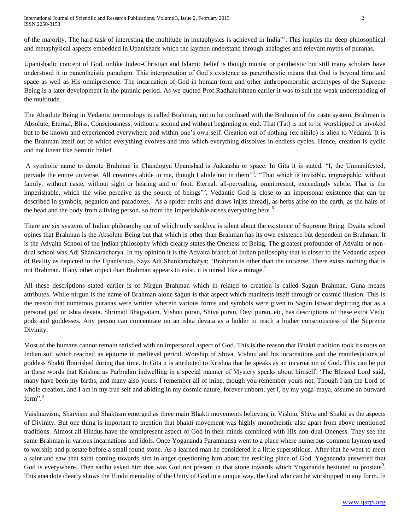International Journal of Scientific and Research Publications, Volume 3, Issue 2, February 2013 2 ISSN 2250-3153

of the majority. The hard task of interesting the multitude in metaphysics is achieved in India<sup>33</sup>. This implies the deep philosophical and metaphysical aspects embedded in Upanishads which the laymen understand through analogies and relevant myths of puranas.

Upanishadic concept of God, unlike Judeo-Christian and Islamic belief is though monist or pantheistic but still many scholars have understood it in panentheistic paradigm. This interpretation of God's existence as panentheistic means that God is beyond time and space as well as His omnipresence. The incarnation of God in human form and other anthropomorphic archetypes of the Supreme Being is a later development in the puranic period. As we quoted Prof.Radhakrishnan earlier it was to suit the weak understanding of the multitude.

The Absolute Being in Vedantic terminology is called Brahman, not to be confused with the Brahmin of the caste system. Brahman is Absolute, Eternal, Bliss, Consciousness, without a second and without beginning or end. That (Tat) is not to be worshipped or invoked but to be known and experienced everywhere and within one's own self. Creation out of nothing (ex nihilo) is alien to Vedanta. It is the Brahman itself out of which everything evolves and into which everything dissolves in endless cycles. Hence, creation is cyclic and not linear like Semitic belief.

A symbolic name to denote Brahman in Chandogya Upanishad is Aakaasha or space. In Gita it is stated, "I, the Unmanifested, pervade the entire universe. All creatures abide in me, though I abide not in them<sup>34</sup>. "That which is invisible, ungraspable, without family, without caste, without sight or hearing and or foot. Eternal, all-pervading, omnipresent, exceedingly subtle. That is the imperishable, which the wise perceive as the source of beings<sup>55</sup>. Vedantic God is close to an impersonal existence that can be described in symbols, negation and paradoxes. As a spider emits and draws in[its thread], as herbs arise on the earth, as the hairs of the head and the body from a living person, so from the Imperishable arises everything here.<sup>6</sup>

There are six systems of Indian philosophy out of which only sankhya is silent about the existence of Supreme Being. Dvaita school opines that Brahman is the Absolute Being but that which is other than Brahman has its own existence but dependent on Brahman. It is the Advaita School of the Indian philosophy which clearly states the Oneness of Being. The greatest profounder of Advaita or nondual school was Adi Shankaracharya. In my opinion it is the Advaita branch of Indian philosophy that is closer to the Vedantic aspect of Reality as depicted in the Upanishads. Says Adi Shankaracharya; "Brahman is other than the universe. There exists nothing that is not Brahman. If any other object than Brahman appears to exist, it is unreal like a mirage.<sup>7</sup>

All these descriptions stated earlier is of Nirgun Brahman which in related to creation is called Sagun Brahman. Guna means attributes. While nirgun is the name of Brahman alone sagun is that aspect which manifests itself through or cosmic illusion. This is the reason that numerous puranas were written wherein various forms and symbols were given to Sagun Ishwar depicting that as a personal god or ishta devata. Shrimad Bhagvatam, Vishnu puran, Shiva puran, Devi puran, etc, has descriptions of these extra Vedic gods and goddesses. Any person can concentrate on an ishta devata as a ladder to reach a higher consciousness of the Supreme Divinity.

Most of the humans cannot remain satisfied with an impersonal aspect of God. This is the reason that Bhakti tradition took its roots on Indian soil which reached its epitome in medieval period. Worship of Shiva, Vishnu and his incarnations and the manifestations of goddess Shakti flourished during that time. In Gita it is attributed to Krishna that he speaks as an incarnation of God. This can be put in these words that Krishna as Parbrahm indwelling in a special manner of Mystery speaks about himself. 'The Blessed Lord said, many have been my births, and many also yours. I remember all of mine, though you remember yours not. Though I am the Lord of whole creation, and I am in my true self and abiding in my cosmic nature, forever unborn, yet I, by my yoga-maya, assume an outward form".<sup>8</sup>

Vaishnavism, Shaivism and Shaktism emerged as three main Bhakti movements believing in Vishnu, Shiva and Shakti as the aspects of Divinity. But one thing is important to mention that bhakti movement was highly monotheistic also apart from above mentioned traditions. Almost all Hindus have the omnipresent aspect of God in their minds combined with His non-dual Oneness. They see the same Brahman in various incarnations and idols. Once Yogananda Paramhansa went to a place where numerous common laymen used to worship and prostate before a small round stone. As a learned man he considered it a little superstitious. After that he went to meet a saint and saw that saint coming towards him in anger questioning him about the residing place of God. Yogananda answered that God is everywhere. Then sadhu asked him that was God not present in that stone towards which Yogananda hesitated to prostate<sup>9</sup>. This anecdote clearly shows the Hindu mentality of the Unity of God in a unique way, the God who can be worshipped in any form. In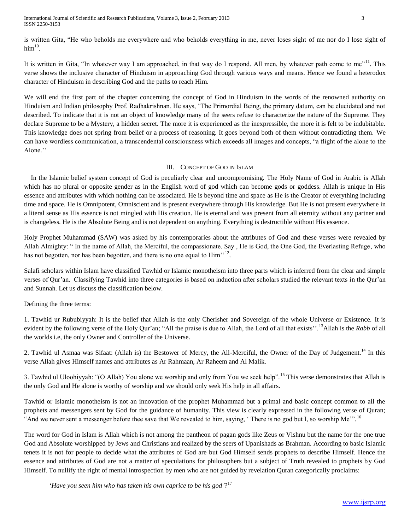International Journal of Scientific and Research Publications, Volume 3, Issue 2, February 2013 3 ISSN 2250-3153

is written Gita, "He who beholds me everywhere and who beholds everything in me, never loses sight of me nor do I lose sight of  $\mathrm{him}^{10}.$ 

It is written in Gita, "In whatever way I am approached, in that way do I respond. All men, by whatever path come to me"<sup>11</sup>. This verse shows the inclusive character of Hinduism in approaching God through various ways and means. Hence we found a heterodox character of Hinduism in describing God and the paths to reach Him.

We will end the first part of the chapter concerning the concept of God in Hinduism in the words of the renowned authority on Hinduism and Indian philosophy Prof. Radhakrishnan. He says, "The Primordial Being, the primary datum, can be elucidated and not described. To indicate that it is not an object of knowledge many of the seers refuse to characterize the nature of the Supreme. They declare Supreme to be a Mystery, a hidden secret. The more it is experienced as the inexpressible, the more it is felt to be indubitable. This knowledge does not spring from belief or a process of reasoning. It goes beyond both of them without contradicting them. We can have wordless communication, a transcendental consciousness which exceeds all images and concepts, "a flight of the alone to the Alone.''

## III. CONCEPT OF GOD IN ISLAM

 In the Islamic belief system concept of God is peculiarly clear and uncompromising. The Holy Name of God in Arabic is Allah which has no plural or opposite gender as in the English word of god which can become gods or goddess. Allah is unique in His essence and attributes with which nothing can be associated. He is beyond time and space as He is the Creator of everything including time and space. He is Omnipotent, Omniscient and is present everywhere through His knowledge. But He is not present everywhere in a literal sense as His essence is not mingled with His creation. He is eternal and was present from all eternity without any partner and is changeless. He is the Absolute Being and is not dependent on anything. Everything is destructible without His essence.

Holy Prophet Muhammad (SAW) was asked by his contemporaries about the attributes of God and these verses were revealed by Allah Almighty: " In the name of Allah, the Merciful, the compassionate. Say , He is God, the One God, the Everlasting Refuge, who has not begotten, nor has been begotten, and there is no one equal to  $\text{Him}^{\gamma,12}$ .

Salafi scholars within Islam have classified Tawhid or Islamic monotheism into three parts which is inferred from the clear and simple verses of Qur'an. Classifying Tawhid into three categories is based on induction after scholars studied the relevant texts in the Qur'an and Sunnah. Let us discuss the classification below.

# Defining the three terms:

1. Tawhid ur Rububiyyah: It is the belief that Allah is the only Cherisher and Sovereign of the whole Universe or Existence. It is evident by the following verse of the Holy Qur'an; "All the praise is due to Allah, the Lord of all that exists".<sup>13</sup>Allah is the *Rabb* of all the worlds i.e, the only Owner and Controller of the Universe.

2. Tawhid ul Asmaa was Sifaat: (Allah is) the Bestower of Mercy, the All-Merciful, the Owner of the Day of Judgement.<sup>14</sup> In this verse Allah gives Himself names and attributes as Ar Rahmaan, Ar Raheem and Al Malik.

3. Tawhid ul Uloohiyyah: "(O Allah) You alone we worship and only from You we seek help".<sup>15</sup> This verse demonstrates that Allah is the only God and He alone is worthy of worship and we should only seek His help in all affairs.

Tawhid or Islamic monotheism is not an innovation of the prophet Muhammad but a primal and basic concept common to all the prophets and messengers sent by God for the guidance of humanity. This view is clearly expressed in the following verse of Quran; "And we never sent a messenger before thee save that We revealed to him, saying, ' There is no god but I, so worship Me".<sup>16</sup>

The word for God in Islam is Allah which is not among the pantheon of pagan gods like Zeus or Vishnu but the name for the one true God and Absolute worshipped by Jews and Christians and realized by the seers of Upanishads as Brahman. According to basic Islamic tenets it is not for people to decide what the attributes of God are but God Himself sends prophets to describe Himself. Hence the essence and attributes of God are not a matter of speculations for philosophers but a subject of Truth revealed to prophets by God Himself. To nullify the right of mental introspection by men who are not guided by revelation Quran categorically proclaims:

'*Have you seen him who has taken his own caprice to be his god'*? 17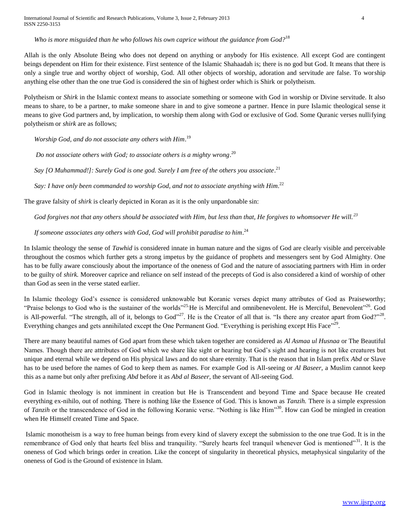## *Who is more misguided than he who follows his own caprice without the guidance from God?*<sup>18</sup>

Allah is the only Absolute Being who does not depend on anything or anybody for His existence. All except God are contingent beings dependent on Him for their existence. First sentence of the Islamic Shahaadah is; there is no god but God. It means that there is only a single true and worthy object of worship, God. All other objects of worship, adoration and servitude are false. To worship anything else other than the one true God is considered the sin of highest order which is Shirk or polytheism.

Polytheism or *Shirk* in the Islamic context means to associate something or someone with God in worship or Divine servitude. It also means to share, to be a partner, to make someone share in and to give someone a partner. Hence in pure Islamic theological sense it means to give God partners and, by implication, to worship them along with God or exclusive of God. Some Quranic verses nullifying polytheism or *shirk* are as follows;

*Worship God, and do not associate any others with Him*. 19

*Do not associate others with God; to associate others is a mighty wrong*. 20

*Say [O Muhammad!]: Surely God is one god. Surely I am free of the others you associate*. 21

Say: I have only been commanded to worship God, and not to associate anything with Him.<sup>22</sup>

The grave falsity of *shirk* is clearly depicted in Koran as it is the only unpardonable sin:

 *God forgives not that any others should be associated with Him, but less than that, He forgives to whomsoever He will.<sup>23</sup>*

# If someone associates any others with God, God will prohibit paradise to him.<sup>24</sup>

In Islamic theology the sense of *Tawhid* is considered innate in human nature and the signs of God are clearly visible and perceivable throughout the cosmos which further gets a strong impetus by the guidance of prophets and messengers sent by God Almighty. One has to be fully aware consciously about the importance of the oneness of God and the nature of associating partners with Him in order to be guilty of *shirk.* Moreover caprice and reliance on self instead of the precepts of God is also considered a kind of worship of other than God as seen in the verse stated earlier.

In Islamic theology God's essence is considered unknowable but Koranic verses depict many attributes of God as Praiseworthy; "Praise belongs to God who is the sustainer of the worlds"<sup>25</sup> He is Merciful and omnibenevolent. He is Merciful, Benevolent"<sup>26</sup>. God is All-powerful. "The strength, all of it, belongs to God"<sup>27</sup>. He is the Creator of all that is. "Is there any creator apart from God?"<sup>28</sup>. Everything changes and gets annihilated except the One Permanent God. "Everything is perishing except His Face"<sup>29</sup>.

There are many beautiful names of God apart from these which taken together are considered as *Al Asmaa ul Husnaa* or The Beautiful Names. Though there are attributes of God which we share like sight or hearing but God's sight and hearing is not like creatures but unique and eternal while we depend on His physical laws and do not share eternity. That is the reason that in Islam prefix *Abd* or Slave has to be used before the names of God to keep them as names. For example God is All-seeing or *Al Baseer,* a Muslim cannot keep this as a name but only after prefixing *Abd* before it as *Abd al Baseer,* the servant of All-seeing God.

God in Islamic theology is not imminent in creation but He is Transcendent and beyond Time and Space because He created everything ex-nihilo, out of nothing. There is nothing like the Essence of God. This is known as *Tanzih.* There is a simple expression of *Tanzih* or the transcendence of God in the following Koranic verse. "Nothing is like Him"<sup>30</sup>. How can God be mingled in creation when He Himself created Time and Space.

Islamic monotheism is a way to free human beings from every kind of slavery except the submission to the one true God. It is in the remembrance of God only that hearts feel bliss and tranquility. "Surely hearts feel tranquil whenever God is mentioned"<sup>31</sup>. It is the oneness of God which brings order in creation. Like the concept of singularity in theoretical physics, metaphysical singularity of the oneness of God is the Ground of existence in Islam.